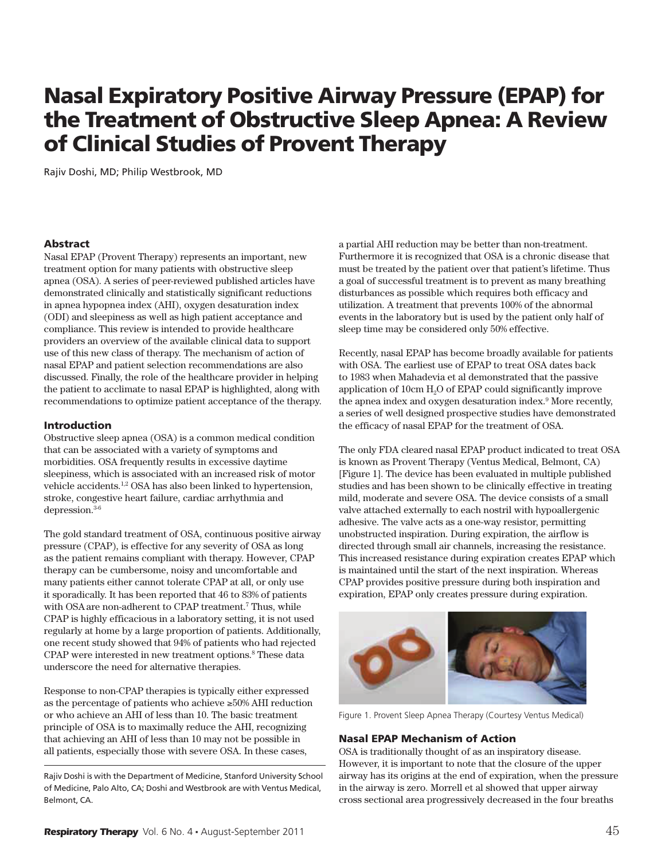# Nasal Expiratory Positive Airway Pressure (EPAP) for the Treatment of Obstructive Sleep Apnea: A Review of Clinical Studies of Provent Therapy

Rajiv Doshi, MD; Philip Westbrook, MD

#### Abstract

Nasal EPAP (Provent Therapy) represents an important, new treatment option for many patients with obstructive sleep apnea (OSA). A series of peer-reviewed published articles have demonstrated clinically and statistically significant reductions in apnea hypopnea index (AHI), oxygen desaturation index (ODI) and sleepiness as well as high patient acceptance and compliance. This review is intended to provide healthcare providers an overview of the available clinical data to support use of this new class of therapy. The mechanism of action of nasal EPAP and patient selection recommendations are also discussed. Finally, the role of the healthcare provider in helping the patient to acclimate to nasal EPAP is highlighted, along with recommendations to optimize patient acceptance of the therapy.

#### Introduction

Obstructive sleep apnea (OSA) is a common medical condition that can be associated with a variety of symptoms and morbidities. OSA frequently results in excessive daytime sleepiness, which is associated with an increased risk of motor vehicle accidents.1,2 OSA has also been linked to hypertension, stroke, congestive heart failure, cardiac arrhythmia and depression.3-6

The gold standard treatment of OSA, continuous positive airway pressure (CPAP), is effective for any severity of OSA as long as the patient remains compliant with therapy. However, CPAP therapy can be cumbersome, noisy and uncomfortable and many patients either cannot tolerate CPAP at all, or only use it sporadically. It has been reported that 46 to 83% of patients with OSA are non-adherent to CPAP treatment.<sup>7</sup> Thus, while CPAP is highly efficacious in a laboratory setting, it is not used regularly at home by a large proportion of patients. Additionally, one recent study showed that 94% of patients who had rejected CPAP were interested in new treatment options.<sup>8</sup> These data underscore the need for alternative therapies.

Response to non-CPAP therapies is typically either expressed as the percentage of patients who achieve  $\geq 50\%$  AHI reduction or who achieve an AHI of less than 10. The basic treatment principle of OSA is to maximally reduce the AHI, recognizing that achieving an AHI of less than 10 may not be possible in all patients, especially those with severe OSA. In these cases,

Rajiv Doshi is with the Department of Medicine, Stanford University School of Medicine, Palo Alto, CA; Doshi and Westbrook are with Ventus Medical, Belmont, CA.

a partial AHI reduction may be better than non-treatment. Furthermore it is recognized that OSA is a chronic disease that must be treated by the patient over that patient's lifetime. Thus a goal of successful treatment is to prevent as many breathing disturbances as possible which requires both efficacy and utilization. A treatment that prevents 100% of the abnormal events in the laboratory but is used by the patient only half of sleep time may be considered only 50% effective.

Recently, nasal EPAP has become broadly available for patients with OSA. The earliest use of EPAP to treat OSA dates back to 1983 when Mahadevia et al demonstrated that the passive application of 10cm H2O of EPAP could significantly improve the apnea index and oxygen desaturation index.<sup>9</sup> More recently, a series of well designed prospective studies have demonstrated the efficacy of nasal EPAP for the treatment of OSA.

The only FDA cleared nasal EPAP product indicated to treat OSA is known as Provent Therapy (Ventus Medical, Belmont, CA) [Figure 1]. The device has been evaluated in multiple published studies and has been shown to be clinically effective in treating mild, moderate and severe OSA. The device consists of a small valve attached externally to each nostril with hypoallergenic adhesive. The valve acts as a one-way resistor, permitting unobstructed inspiration. During expiration, the airflow is directed through small air channels, increasing the resistance. This increased resistance during expiration creates EPAP which is maintained until the start of the next inspiration. Whereas CPAP provides positive pressure during both inspiration and expiration, EPAP only creates pressure during expiration.



Figure 1. Provent Sleep Apnea Therapy (Courtesy Ventus Medical)

#### Nasal EPAP Mechanism of Action

OSA is traditionally thought of as an inspiratory disease. However, it is important to note that the closure of the upper airway has its origins at the end of expiration, when the pressure in the airway is zero. Morrell et al showed that upper airway cross sectional area progressively decreased in the four breaths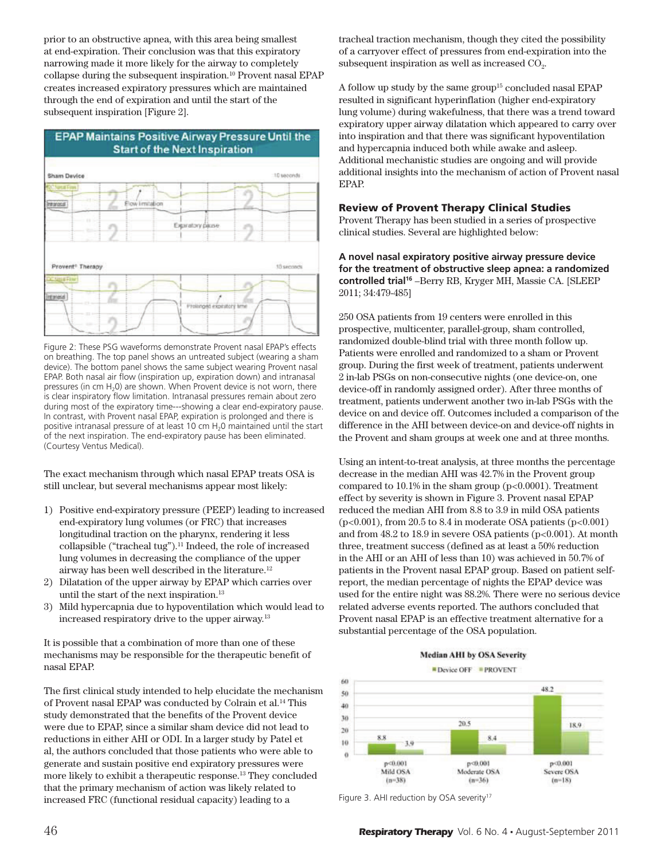prior to an obstructive apnea, with this area being smallest at end-expiration. Their conclusion was that this expiratory narrowing made it more likely for the airway to completely collapse during the subsequent inspiration.<sup>10</sup> Provent nasal EPAP creates increased expiratory pressures which are maintained through the end of expiration and until the start of the subsequent inspiration [Figure 2].



Figure 2: These PSG waveforms demonstrate Provent nasal EPAP's effects on breathing. The top panel shows an untreated subject (wearing a sham device). The bottom panel shows the same subject wearing Provent nasal EPAP. Both nasal air flow (inspiration up, expiration down) and intranasal pressures (in cm  $H_2$ 0) are shown. When Provent device is not worn, there is clear inspiratory flow limitation. Intranasal pressures remain about zero during most of the expiratory time---showing a clear end-expiratory pause. In contrast, with Provent nasal EPAP, expiration is prolonged and there is positive intranasal pressure of at least 10 cm H<sub>2</sub>0 maintained until the start of the next inspiration. The end-expiratory pause has been eliminated. (Courtesy Ventus Medical).

The exact mechanism through which nasal EPAP treats OSA is still unclear, but several mechanisms appear most likely:

- 1) Positive end-expiratory pressure (PEEP) leading to increased end-expiratory lung volumes (or FRC) that increases longitudinal traction on the pharynx, rendering it less collapsible ("tracheal tug"). $<sup>11</sup>$  Indeed, the role of increased</sup> lung volumes in decreasing the compliance of the upper airway has been well described in the literature.<sup>12</sup>
- 2) Dilatation of the upper airway by EPAP which carries over until the start of the next inspiration.<sup>13</sup>
- 3) Mild hypercapnia due to hypoventilation which would lead to increased respiratory drive to the upper airway.<sup>13</sup>

It is possible that a combination of more than one of these mechanisms may be responsible for the therapeutic benefit of nasal EPAP.

The first clinical study intended to help elucidate the mechanism of Provent nasal EPAP was conducted by Colrain et al.<sup>14</sup> This study demonstrated that the benefits of the Provent device were due to EPAP, since a similar sham device did not lead to reductions in either AHI or ODI. In a larger study by Patel et al, the authors concluded that those patients who were able to generate and sustain positive end expiratory pressures were more likely to exhibit a therapeutic response.<sup>13</sup> They concluded that the primary mechanism of action was likely related to increased FRC (functional residual capacity) leading to a

tracheal traction mechanism, though they cited the possibility of a carryover effect of pressures from end-expiration into the subsequent inspiration as well as increased  $CO<sub>2</sub>$ .

A follow up study by the same group<sup>15</sup> concluded nasal EPAP resulted in significant hyperinflation (higher end-expiratory lung volume) during wakefulness, that there was a trend toward expiratory upper airway dilatation which appeared to carry over into inspiration and that there was significant hypoventilation and hypercapnia induced both while awake and asleep. Additional mechanistic studies are ongoing and will provide additional insights into the mechanism of action of Provent nasal EPAP.

#### Review of Provent Therapy Clinical Studies

Provent Therapy has been studied in a series of prospective clinical studies. Several are highlighted below:

**A novel nasal expiratory positive airway pressure device for the treatment of obstructive sleep apnea: a randomized controlled trial<sup>16</sup>** –Berry RB, Kryger MH, Massie CA. [SLEEP 2011; 34:479-485]

250 OSA patients from 19 centers were enrolled in this prospective, multicenter, parallel-group, sham controlled, randomized double-blind trial with three month follow up. Patients were enrolled and randomized to a sham or Provent group. During the first week of treatment, patients underwent 2 in-lab PSGs on non-consecutive nights (one device-on, one device-off in randomly assigned order). After three months of treatment, patients underwent another two in-lab PSGs with the device on and device off. Outcomes included a comparison of the difference in the AHI between device-on and device-off nights in the Provent and sham groups at week one and at three months.

Using an intent-to-treat analysis, at three months the percentage decrease in the median AHI was 42.7% in the Provent group compared to  $10.1\%$  in the sham group ( $p<0.0001$ ). Treatment effect by severity is shown in Figure 3. Provent nasal EPAP reduced the median AHI from 8.8 to 3.9 in mild OSA patients  $(p<0.001)$ , from 20.5 to 8.4 in moderate OSA patients  $(p<0.001)$ and from  $48.2$  to  $18.9$  in severe OSA patients ( $p<0.001$ ). At month three, treatment success (defined as at least a 50% reduction in the AHI or an AHI of less than 10) was achieved in 50.7% of patients in the Provent nasal EPAP group. Based on patient selfreport, the median percentage of nights the EPAP device was used for the entire night was 88.2%. There were no serious device related adverse events reported. The authors concluded that Provent nasal EPAP is an effective treatment alternative for a substantial percentage of the OSA population.



**EDevice OFF PROVENT** 



Figure 3. AHI reduction by OSA severity<sup>17</sup>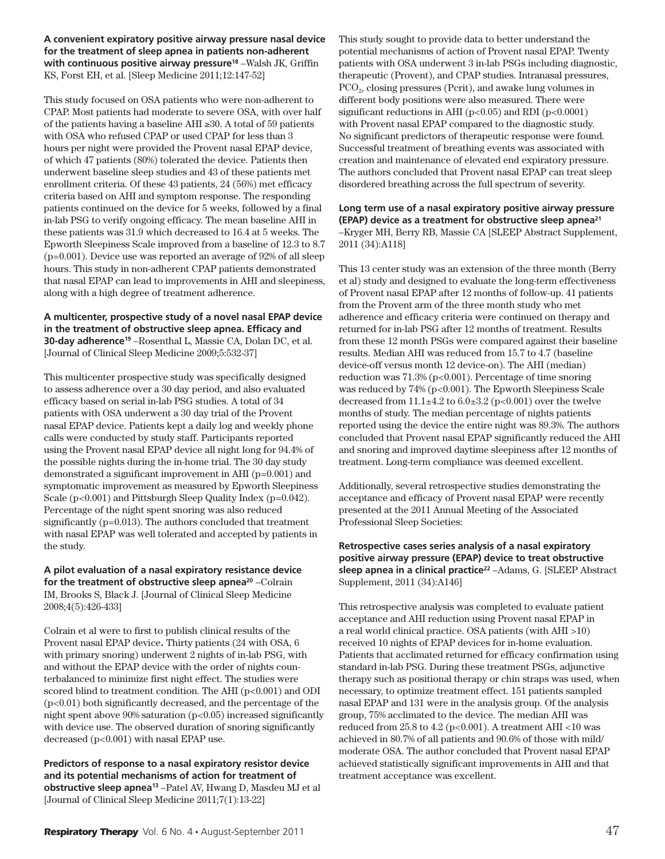**A convenient expiratory positive airway pressure nasal device for the treatment of sleep apnea in patients non-adherent with continuous positive airway pressure<sup>18</sup>** –Walsh JK, Griffin KS, Forst EH, et al. [Sleep Medicine 2011;12:147-52]

This study focused on OSA patients who were non-adherent to CPAP. Most patients had moderate to severe OSA, with over half of the patients having a baseline AHI  $\geq 30$ . A total of 59 patients with OSA who refused CPAP or used CPAP for less than 3 hours per night were provided the Provent nasal EPAP device, of which 47 patients (80%) tolerated the device. Patients then underwent baseline sleep studies and 43 of these patients met enrollment criteria. Of these 43 patients, 24 (56%) met efficacy criteria based on AHI and symptom response. The responding patients continued on the device for 5 weeks, followed by a final in-lab PSG to verify ongoing efficacy. The mean baseline AHI in these patients was 31.9 which decreased to 16.4 at 5 weeks. The Epworth Sleepiness Scale improved from a baseline of 12.3 to 8.7 (p=0.001). Device use was reported an average of 92% of all sleep hours. This study in non-adherent CPAP patients demonstrated that nasal EPAP can lead to improvements in AHI and sleepiness, along with a high degree of treatment adherence.

**A multicenter, prospective study of a novel nasal EPAP device in the treatment of obstructive sleep apnea. Efficacy and 30-day adherence<sup>19</sup>** –Rosenthal L, Massie CA, Dolan DC, et al. [Journal of Clinical Sleep Medicine 2009;5:532-37]

This multicenter prospective study was specifically designed to assess adherence over a 30 day period, and also evaluated efficacy based on serial in-lab PSG studies. A total of 34 patients with OSA underwent a 30 day trial of the Provent nasal EPAP device. Patients kept a daily log and weekly phone calls were conducted by study staff. Participants reported using the Provent nasal EPAP device all night long for 94.4% of the possible nights during the in-home trial. The 30 day study demonstrated a significant improvement in AHI (p=0.001) and symptomatic improvement as measured by Epworth Sleepiness Scale (p<0.001) and Pittsburgh Sleep Quality Index (p=0.042). Percentage of the night spent snoring was also reduced significantly (p=0.013). The authors concluded that treatment with nasal EPAP was well tolerated and accepted by patients in the study.

**A pilot evaluation of a nasal expiratory resistance device for the treatment of obstructive sleep apnea<sup>20</sup>** –Colrain IM, Brooks S, Black J. [Journal of Clinical Sleep Medicine 2008;4(5):426-433]

Colrain et al were to first to publish clinical results of the Provent nasal EPAP device**.** Thirty patients (24 with OSA, 6 with primary snoring) underwent 2 nights of in-lab PSG, with and without the EPAP device with the order of nights counterbalanced to minimize first night effect. The studies were scored blind to treatment condition. The AHI (p<0.001) and ODI (p<0.01) both significantly decreased, and the percentage of the night spent above  $90\%$  saturation ( $p<0.05$ ) increased significantly with device use. The observed duration of snoring significantly decreased (p<0.001) with nasal EPAP use.

**Predictors of response to a nasal expiratory resistor device and its potential mechanisms of action for treatment of obstructive sleep apnea<sup>13</sup>** –Patel AV, Hwang D, Masdeu MJ et al [Journal of Clinical Sleep Medicine 2011;7(1):13-22]

This study sought to provide data to better understand the potential mechanisms of action of Provent nasal EPAP. Twenty patients with OSA underwent 3 in-lab PSGs including diagnostic, therapeutic (Provent), and CPAP studies. Intranasal pressures, PCO<sub>2</sub>, closing pressures (Pcrit), and awake lung volumes in different body positions were also measured. There were significant reductions in AHI ( $p<0.05$ ) and RDI ( $p<0.0001$ ) with Provent nasal EPAP compared to the diagnostic study. No significant predictors of therapeutic response were found. Successful treatment of breathing events was associated with creation and maintenance of elevated end expiratory pressure. The authors concluded that Provent nasal EPAP can treat sleep disordered breathing across the full spectrum of severity.

**Long term use of a nasal expiratory positive airway pressure (EPAP) device as a treatment for obstructive sleep apnea<sup>21</sup>** –Kryger MH, Berry RB, Massie CA [SLEEP Abstract Supplement, 2011 (34):A118]

This 13 center study was an extension of the three month (Berry et al) study and designed to evaluate the long-term effectiveness of Provent nasal EPAP after 12 months of follow-up. 41 patients from the Provent arm of the three month study who met adherence and efficacy criteria were continued on therapy and returned for in-lab PSG after 12 months of treatment. Results from these 12 month PSGs were compared against their baseline results. Median AHI was reduced from 15.7 to 4.7 (baseline device-off versus month 12 device-on). The AHI (median) reduction was  $71.3\%$  (p<0.001). Percentage of time snoring was reduced by 74% (p<0.001). The Epworth Sleepiness Scale decreased from  $11.1\pm4.2$  to  $6.0\pm3.2$  (p<0.001) over the twelve months of study. The median percentage of nights patients reported using the device the entire night was 89.3%. The authors concluded that Provent nasal EPAP significantly reduced the AHI and snoring and improved daytime sleepiness after 12 months of treatment. Long-term compliance was deemed excellent.

Additionally, several retrospective studies demonstrating the acceptance and efficacy of Provent nasal EPAP were recently presented at the 2011 Annual Meeting of the Associated Professional Sleep Societies:

#### **Retrospective cases series analysis of a nasal expiratory positive airway pressure (EPAP) device to treat obstructive sleep apnea in a clinical practice<sup>22</sup>** –Adams, G. [SLEEP Abstract Supplement, 2011 (34):A146]

This retrospective analysis was completed to evaluate patient acceptance and AHI reduction using Provent nasal EPAP in a real world clinical practice. OSA patients (with AHI >10) received 10 nights of EPAP devices for in-home evaluation. Patients that acclimated returned for efficacy confirmation using standard in-lab PSG. During these treatment PSGs, adjunctive therapy such as positional therapy or chin straps was used, when necessary, to optimize treatment effect. 151 patients sampled nasal EPAP and 131 were in the analysis group. Of the analysis group, 75% acclimated to the device. The median AHI was reduced from  $25.8$  to  $4.2$  (p<0.001). A treatment AHI <10 was achieved in 80.7% of all patients and 90.6% of those with mild/ moderate OSA. The author concluded that Provent nasal EPAP achieved statistically significant improvements in AHI and that treatment acceptance was excellent.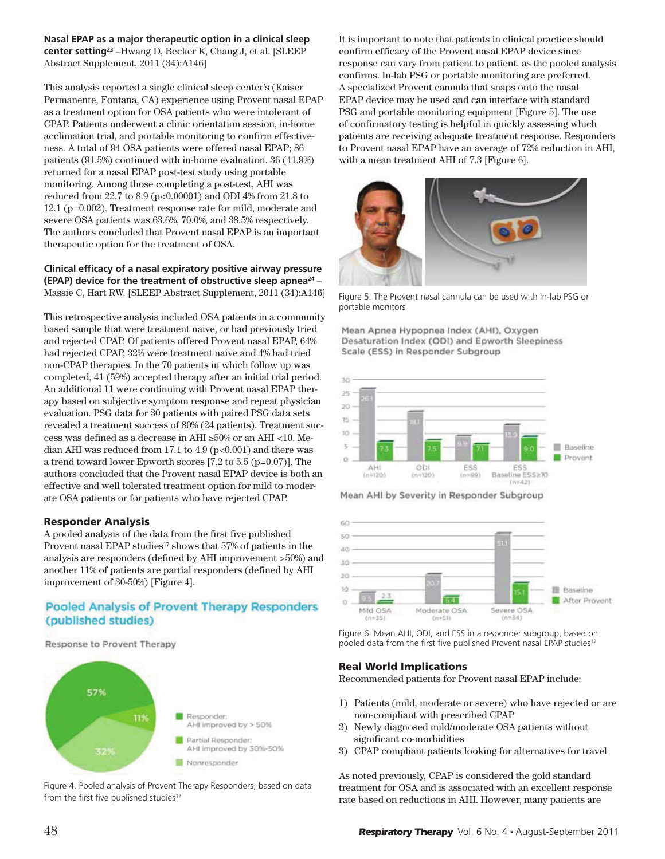**Nasal EPAP as a major therapeutic option in a clinical sleep center setting<sup>23</sup>** –Hwang D, Becker K, Chang J, et al. [SLEEP Abstract Supplement, 2011 (34):A146]

This analysis reported a single clinical sleep center's (Kaiser Permanente, Fontana, CA) experience using Provent nasal EPAP as a treatment option for OSA patients who were intolerant of CPAP. Patients underwent a clinic orientation session, in-home acclimation trial, and portable monitoring to confirm effectiveness. A total of 94 OSA patients were offered nasal EPAP; 86 patients (91.5%) continued with in-home evaluation. 36 (41.9%) returned for a nasal EPAP post-test study using portable monitoring. Among those completing a post-test, AHI was reduced from 22.7 to 8.9 (p<0.00001) and ODI 4% from 21.8 to 12.1 (p=0.002). Treatment response rate for mild, moderate and severe OSA patients was 63.6%, 70.0%, and 38.5% respectively. The authors concluded that Provent nasal EPAP is an important therapeutic option for the treatment of OSA.

#### **Clinical efficacy of a nasal expiratory positive airway pressure (EPAP) device for the treatment of obstructive sleep apnea<sup>24</sup>** – Massie C, Hart RW. [SLEEP Abstract Supplement, 2011 (34):A146]

This retrospective analysis included OSA patients in a community based sample that were treatment naive, or had previously tried and rejected CPAP. Of patients offered Provent nasal EPAP, 64% had rejected CPAP, 32% were treatment naive and 4% had tried non-CPAP therapies. In the 70 patients in which follow up was completed, 41 (59%) accepted therapy after an initial trial period. An additional 11 were continuing with Provent nasal EPAP therapy based on subjective symptom response and repeat physician evaluation. PSG data for 30 patients with paired PSG data sets revealed a treatment success of 80% (24 patients). Treatment success was defined as a decrease in AHI  $\geq$ 50% or an AHI <10. Median AHI was reduced from 17.1 to  $4.9$  ( $p<0.001$ ) and there was a trend toward lower Epworth scores [7.2 to 5.5 (p=0.07)]. The authors concluded that the Provent nasal EPAP device is both an effective and well tolerated treatment option for mild to moderate OSA patients or for patients who have rejected CPAP.

## Responder Analysis

A pooled analysis of the data from the first five published Provent nasal EPAP studies<sup>17</sup> shows that 57% of patients in the analysis are responders (defined by AHI improvement >50%) and another 11% of patients are partial responders (defined by AHI improvement of 30-50%) [Figure 4].

# Pooled Analysis of Provent Therapy Responders (published studies)

Response to Provent Therapy



Figure 4. Pooled analysis of Provent Therapy Responders, based on data from the first five published studies<sup>17</sup>

It is important to note that patients in clinical practice should confirm efficacy of the Provent nasal EPAP device since response can vary from patient to patient, as the pooled analysis confirms. In-lab PSG or portable monitoring are preferred. A specialized Provent cannula that snaps onto the nasal EPAP device may be used and can interface with standard PSG and portable monitoring equipment [Figure 5]. The use of confirmatory testing is helpful in quickly assessing which patients are receiving adequate treatment response. Responders to Provent nasal EPAP have an average of 72% reduction in AHI, with a mean treatment AHI of 7.3 [Figure 6].



Figure 5. The Provent nasal cannula can be used with in-lab PSG or portable monitors

Mean Apnea Hypopnea Index (AHI), Oxygen Desaturation Index (ODI) and Epworth Sleepiness Scale (ESS) in Responder Subgroup



Mean AHI by Severity in Responder Subgroup



Figure 6. Mean AHI, ODI, and ESS in a responder subgroup, based on pooled data from the first five published Provent nasal EPAP studies<sup>17</sup>

## Real World Implications

Recommended patients for Provent nasal EPAP include:

- 1) Patients (mild, moderate or severe) who have rejected or are non-compliant with prescribed CPAP
- 2) Newly diagnosed mild/moderate OSA patients without significant co-morbidities
- 3) CPAP compliant patients looking for alternatives for travel

As noted previously, CPAP is considered the gold standard treatment for OSA and is associated with an excellent response rate based on reductions in AHI. However, many patients are